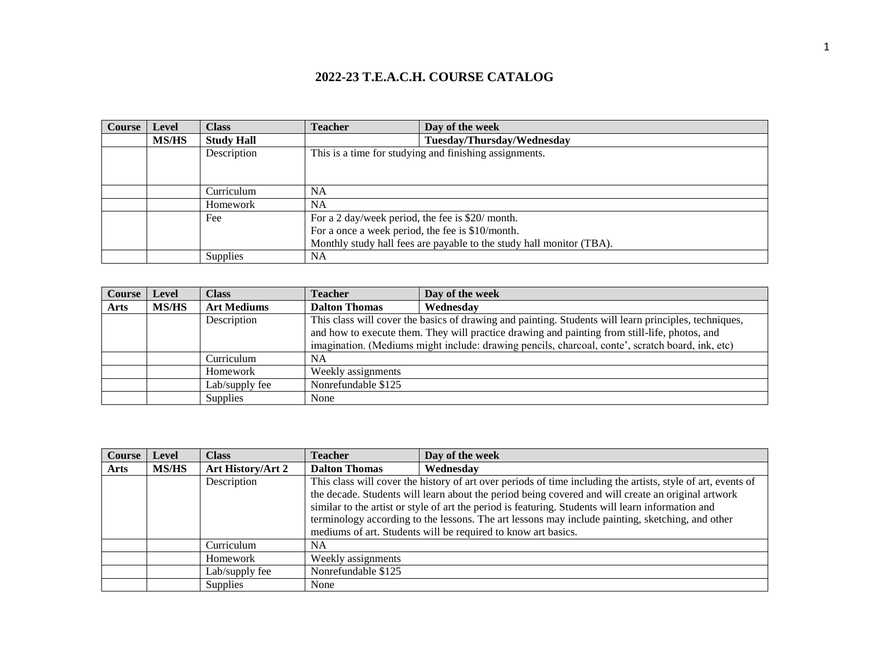| Course | Level        | <b>Class</b>      | <b>Teacher</b>                                   | Day of the week                                                      |
|--------|--------------|-------------------|--------------------------------------------------|----------------------------------------------------------------------|
|        | <b>MS/HS</b> | <b>Study Hall</b> |                                                  | Tuesday/Thursday/Wednesday                                           |
|        |              | Description       |                                                  | This is a time for studying and finishing assignments.               |
|        |              |                   |                                                  |                                                                      |
|        |              |                   |                                                  |                                                                      |
|        |              | Curriculum        | NA                                               |                                                                      |
|        |              | Homework          | NA                                               |                                                                      |
|        |              | Fee               | For a 2 day/week period, the fee is \$20/ month. |                                                                      |
|        |              |                   | For a once a week period, the fee is \$10/month. |                                                                      |
|        |              |                   |                                                  | Monthly study hall fees are payable to the study hall monitor (TBA). |
|        |              | <b>Supplies</b>   | NA                                               |                                                                      |

| <b>Course</b> | Level        | <b>Class</b>       | <b>Teacher</b>       | Day of the week                                                                                       |
|---------------|--------------|--------------------|----------------------|-------------------------------------------------------------------------------------------------------|
| Arts          | <b>MS/HS</b> | <b>Art Mediums</b> | <b>Dalton Thomas</b> | Wednesdav                                                                                             |
|               |              | Description        |                      | This class will cover the basics of drawing and painting. Students will learn principles, techniques, |
|               |              |                    |                      | and how to execute them. They will practice drawing and painting from still-life, photos, and         |
|               |              |                    |                      | imagination. (Mediums might include: drawing pencils, charcoal, conte', scratch board, ink, etc)      |
|               |              | Curriculum         | <b>NA</b>            |                                                                                                       |
|               |              | Homework           | Weekly assignments   |                                                                                                       |
|               |              | Lab/supply fee     | Nonrefundable \$125  |                                                                                                       |
|               |              | Supplies           | None                 |                                                                                                       |

| <b>Course</b> | Level        | <b>Class</b>      | <b>Teacher</b>       | Day of the week                                                                                              |
|---------------|--------------|-------------------|----------------------|--------------------------------------------------------------------------------------------------------------|
| Arts          | <b>MS/HS</b> | Art History/Art 2 | <b>Dalton Thomas</b> | Wednesday                                                                                                    |
|               |              | Description       |                      | This class will cover the history of art over periods of time including the artists, style of art, events of |
|               |              |                   |                      | the decade. Students will learn about the period being covered and will create an original artwork           |
|               |              |                   |                      | similar to the artist or style of art the period is featuring. Students will learn information and           |
|               |              |                   |                      | terminology according to the lessons. The art lessons may include painting, sketching, and other             |
|               |              |                   |                      | mediums of art. Students will be required to know art basics.                                                |
|               |              | Curriculum        | NA.                  |                                                                                                              |
|               |              | Homework          | Weekly assignments   |                                                                                                              |
|               |              | Lab/supply fee    | Nonrefundable \$125  |                                                                                                              |
|               |              | Supplies          | None                 |                                                                                                              |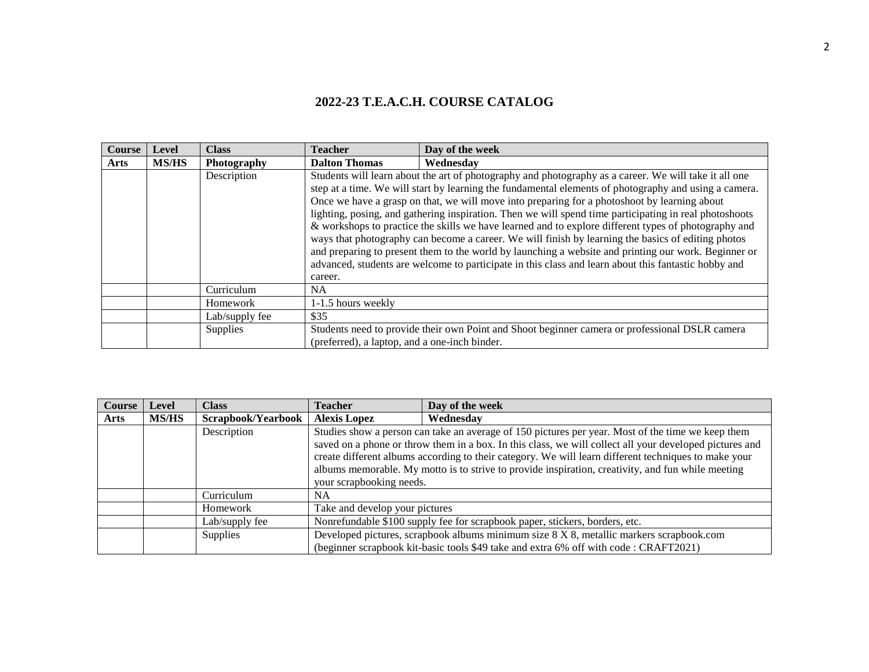| <b>Course</b> | <b>Level</b> | <b>Class</b>       | <b>Teacher</b>                                | Day of the week                                                                                                                                                                                                                                                                                                                                                                                                                                                                                                                                                                                                                                                                                                                                                                                                                                        |
|---------------|--------------|--------------------|-----------------------------------------------|--------------------------------------------------------------------------------------------------------------------------------------------------------------------------------------------------------------------------------------------------------------------------------------------------------------------------------------------------------------------------------------------------------------------------------------------------------------------------------------------------------------------------------------------------------------------------------------------------------------------------------------------------------------------------------------------------------------------------------------------------------------------------------------------------------------------------------------------------------|
| <b>Arts</b>   | <b>MS/HS</b> | <b>Photography</b> | <b>Dalton Thomas</b>                          | Wednesdav                                                                                                                                                                                                                                                                                                                                                                                                                                                                                                                                                                                                                                                                                                                                                                                                                                              |
|               |              | Description        | career.                                       | Students will learn about the art of photography and photography as a career. We will take it all one<br>step at a time. We will start by learning the fundamental elements of photography and using a camera.<br>Once we have a grasp on that, we will move into preparing for a photoshoot by learning about<br>lighting, posing, and gathering inspiration. Then we will spend time participating in real photoshoots<br>& workshops to practice the skills we have learned and to explore different types of photography and<br>ways that photography can become a career. We will finish by learning the basics of editing photos<br>and preparing to present them to the world by launching a website and printing our work. Beginner or<br>advanced, students are welcome to participate in this class and learn about this fantastic hobby and |
|               |              | Curriculum         | NA.                                           |                                                                                                                                                                                                                                                                                                                                                                                                                                                                                                                                                                                                                                                                                                                                                                                                                                                        |
|               |              | Homework           | 1-1.5 hours weekly                            |                                                                                                                                                                                                                                                                                                                                                                                                                                                                                                                                                                                                                                                                                                                                                                                                                                                        |
|               |              | Lab/supply fee     | \$35                                          |                                                                                                                                                                                                                                                                                                                                                                                                                                                                                                                                                                                                                                                                                                                                                                                                                                                        |
|               |              | Supplies           | (preferred), a laptop, and a one-inch binder. | Students need to provide their own Point and Shoot beginner camera or professional DSLR camera                                                                                                                                                                                                                                                                                                                                                                                                                                                                                                                                                                                                                                                                                                                                                         |

| Course      | <b>Level</b> | <b>Class</b>       | <b>Teacher</b>                 | Day of the week                                                                                                                                                                                                                                                                                                                                                                                                           |
|-------------|--------------|--------------------|--------------------------------|---------------------------------------------------------------------------------------------------------------------------------------------------------------------------------------------------------------------------------------------------------------------------------------------------------------------------------------------------------------------------------------------------------------------------|
| <b>Arts</b> | <b>MS/HS</b> | Scrapbook/Yearbook | <b>Alexis Lopez</b>            | Wednesdav                                                                                                                                                                                                                                                                                                                                                                                                                 |
|             |              | Description        | your scrapbooking needs.       | Studies show a person can take an average of 150 pictures per year. Most of the time we keep them<br>saved on a phone or throw them in a box. In this class, we will collect all your developed pictures and<br>create different albums according to their category. We will learn different techniques to make your<br>albums memorable. My motto is to strive to provide inspiration, creativity, and fun while meeting |
|             |              | Curriculum         | <b>NA</b>                      |                                                                                                                                                                                                                                                                                                                                                                                                                           |
|             |              | Homework           | Take and develop your pictures |                                                                                                                                                                                                                                                                                                                                                                                                                           |
|             |              | Lab/supply fee     |                                | Nonrefundable \$100 supply fee for scrapbook paper, stickers, borders, etc.                                                                                                                                                                                                                                                                                                                                               |
|             |              | Supplies           |                                | Developed pictures, scrapbook albums minimum size 8 X 8, metallic markers scrapbook.com<br>(beginner scrapbook kit-basic tools \$49 take and extra 6% off with code : CRAFT2021)                                                                                                                                                                                                                                          |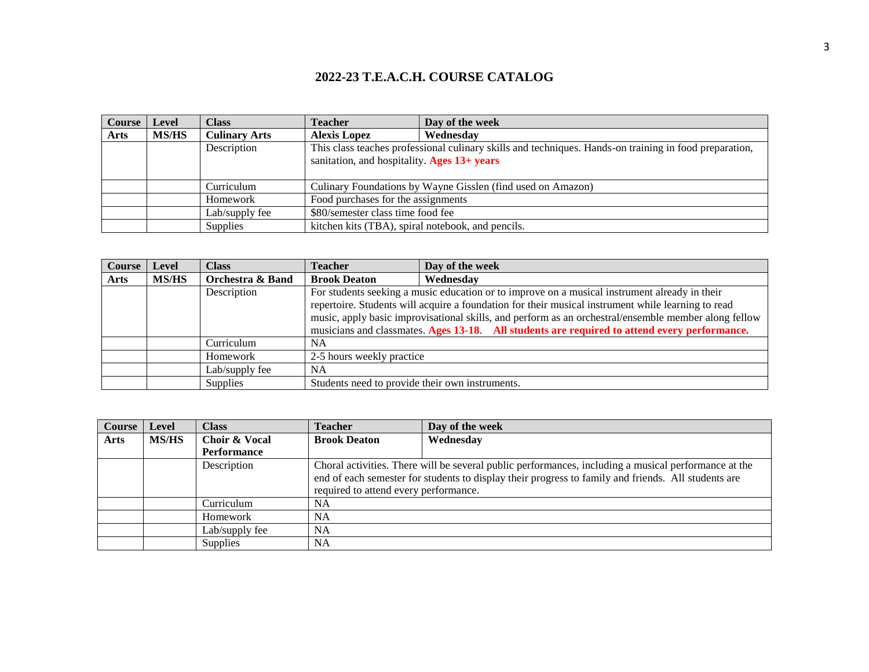| <b>Course</b> | <b>Level</b> | <b>Class</b>         | <b>Teacher</b>                                              | Day of the week                                                                                        |
|---------------|--------------|----------------------|-------------------------------------------------------------|--------------------------------------------------------------------------------------------------------|
| <b>Arts</b>   | <b>MS/HS</b> | <b>Culinary Arts</b> | <b>Alexis Lopez</b>                                         | Wednesdav                                                                                              |
|               |              | Description          | sanitation, and hospitality. Ages $13+years$                | This class teaches professional culinary skills and techniques. Hands-on training in food preparation, |
|               |              | Curriculum           | Culinary Foundations by Wayne Gisslen (find used on Amazon) |                                                                                                        |
|               |              | Homework             | Food purchases for the assignments                          |                                                                                                        |
|               |              | Lab/supply fee       | \$80/semester class time food fee                           |                                                                                                        |
|               |              | Supplies             | kitchen kits (TBA), spiral notebook, and pencils.           |                                                                                                        |

| Course      | Level | <b>Class</b>                | <b>Teacher</b>                                  | Day of the week                                                                                      |
|-------------|-------|-----------------------------|-------------------------------------------------|------------------------------------------------------------------------------------------------------|
| <b>Arts</b> | MS/HS | <b>Orchestra &amp; Band</b> | <b>Brook Deaton</b>                             | Wednesday                                                                                            |
|             |       | Description                 |                                                 | For students seeking a music education or to improve on a musical instrument already in their        |
|             |       |                             |                                                 | repertoire. Students will acquire a foundation for their musical instrument while learning to read   |
|             |       |                             |                                                 | music, apply basic improvisational skills, and perform as an orchestral/ensemble member along fellow |
|             |       |                             |                                                 | musicians and classmates. Ages 13-18. All students are required to attend every performance.         |
|             |       | Curriculum                  | <b>NA</b>                                       |                                                                                                      |
|             |       | Homework                    | 2-5 hours weekly practice                       |                                                                                                      |
|             |       | Lab/supply fee              | <b>NA</b>                                       |                                                                                                      |
|             |       | Supplies                    | Students need to provide their own instruments. |                                                                                                      |

| Course | Level        | <b>Class</b>   | <b>Teacher</b>                        | Day of the week                                                                                      |
|--------|--------------|----------------|---------------------------------------|------------------------------------------------------------------------------------------------------|
| Arts   | <b>MS/HS</b> | Choir & Vocal  | <b>Brook Deaton</b>                   | Wednesday                                                                                            |
|        |              | Performance    |                                       |                                                                                                      |
|        |              | Description    |                                       | Choral activities. There will be several public performances, including a musical performance at the |
|        |              |                |                                       | end of each semester for students to display their progress to family and friends. All students are  |
|        |              |                | required to attend every performance. |                                                                                                      |
|        |              | Curriculum     | NA                                    |                                                                                                      |
|        |              | Homework       | <b>NA</b>                             |                                                                                                      |
|        |              | Lab/supply fee | <b>NA</b>                             |                                                                                                      |
|        |              | Supplies       | <b>NA</b>                             |                                                                                                      |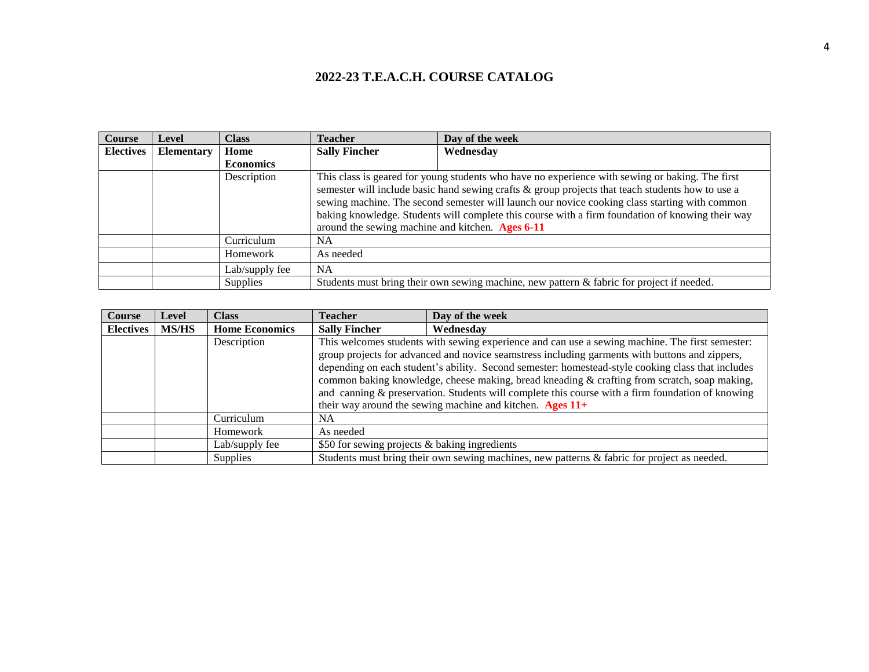| <b>Course</b>    | Level             | <b>Class</b>     | <b>Teacher</b>                                   | Day of the week                                                                                                                                                                                                                                                                                                                                                                                          |
|------------------|-------------------|------------------|--------------------------------------------------|----------------------------------------------------------------------------------------------------------------------------------------------------------------------------------------------------------------------------------------------------------------------------------------------------------------------------------------------------------------------------------------------------------|
| <b>Electives</b> | <b>Elementary</b> | Home             | <b>Sally Fincher</b>                             | Wednesday                                                                                                                                                                                                                                                                                                                                                                                                |
|                  |                   | <b>Economics</b> |                                                  |                                                                                                                                                                                                                                                                                                                                                                                                          |
|                  |                   | Description      | around the sewing machine and kitchen. Ages 6-11 | This class is geared for young students who have no experience with sewing or baking. The first<br>semester will include basic hand sewing crafts & group projects that teach students how to use a<br>sewing machine. The second semester will launch our novice cooking class starting with common<br>baking knowledge. Students will complete this course with a firm foundation of knowing their way |
|                  |                   | Curriculum       | <b>NA</b>                                        |                                                                                                                                                                                                                                                                                                                                                                                                          |
|                  |                   | Homework         | As needed                                        |                                                                                                                                                                                                                                                                                                                                                                                                          |
|                  |                   | Lab/supply fee   | <b>NA</b>                                        |                                                                                                                                                                                                                                                                                                                                                                                                          |
|                  |                   | Supplies         |                                                  | Students must bring their own sewing machine, new pattern $\&$ fabric for project if needed.                                                                                                                                                                                                                                                                                                             |

| Course           | <b>Level</b> | Class                 | <b>Teacher</b>                                | Day of the week                                                                                                                                                                                                                                                                                                                                                                                                                                                                                                                                                           |
|------------------|--------------|-----------------------|-----------------------------------------------|---------------------------------------------------------------------------------------------------------------------------------------------------------------------------------------------------------------------------------------------------------------------------------------------------------------------------------------------------------------------------------------------------------------------------------------------------------------------------------------------------------------------------------------------------------------------------|
| <b>Electives</b> | <b>MS/HS</b> | <b>Home Economics</b> | <b>Sally Fincher</b>                          | Wednesday                                                                                                                                                                                                                                                                                                                                                                                                                                                                                                                                                                 |
|                  |              | Description           |                                               | This welcomes students with sewing experience and can use a sewing machine. The first semester:<br>group projects for advanced and novice seamstress including garments with buttons and zippers,<br>depending on each student's ability. Second semester: homestead-style cooking class that includes<br>common baking knowledge, cheese making, bread kneading & crafting from scratch, soap making,<br>and canning & preservation. Students will complete this course with a firm foundation of knowing<br>their way around the sewing machine and kitchen. Ages $11+$ |
|                  |              | Curriculum            | NA                                            |                                                                                                                                                                                                                                                                                                                                                                                                                                                                                                                                                                           |
|                  |              | Homework              | As needed                                     |                                                                                                                                                                                                                                                                                                                                                                                                                                                                                                                                                                           |
|                  |              | Lab/supply fee        | \$50 for sewing projects & baking ingredients |                                                                                                                                                                                                                                                                                                                                                                                                                                                                                                                                                                           |
|                  |              | <b>Supplies</b>       |                                               | Students must bring their own sewing machines, new patterns & fabric for project as needed.                                                                                                                                                                                                                                                                                                                                                                                                                                                                               |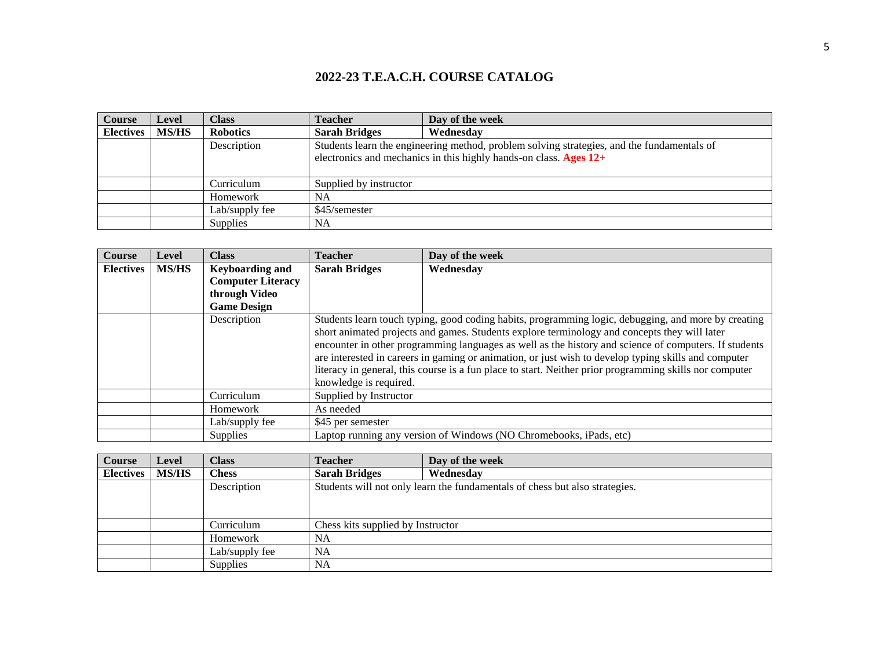| <b>Course</b>    | Level        | <b>Class</b>    | <b>Teacher</b>         | Day of the week                                                                            |
|------------------|--------------|-----------------|------------------------|--------------------------------------------------------------------------------------------|
| <b>Electives</b> | <b>MS/HS</b> | <b>Robotics</b> | <b>Sarah Bridges</b>   | Wednesday                                                                                  |
|                  |              | Description     |                        | Students learn the engineering method, problem solving strategies, and the fundamentals of |
|                  |              |                 |                        | electronics and mechanics in this highly hands-on class. Ages $12+$                        |
|                  |              |                 |                        |                                                                                            |
|                  |              | Curriculum      | Supplied by instructor |                                                                                            |
|                  |              | Homework        | NA                     |                                                                                            |
|                  |              | Lab/supply fee  | \$45/semester          |                                                                                            |
|                  |              | <b>Supplies</b> | <b>NA</b>              |                                                                                            |

| <b>Course</b>    | Level        | <b>Class</b>             | Teacher                                                                                                                                                                                                                                                                                                                                                                                                                                                                                                                                                   | Day of the week                                                    |
|------------------|--------------|--------------------------|-----------------------------------------------------------------------------------------------------------------------------------------------------------------------------------------------------------------------------------------------------------------------------------------------------------------------------------------------------------------------------------------------------------------------------------------------------------------------------------------------------------------------------------------------------------|--------------------------------------------------------------------|
| <b>Electives</b> | <b>MS/HS</b> | <b>Keyboarding and</b>   | <b>Sarah Bridges</b>                                                                                                                                                                                                                                                                                                                                                                                                                                                                                                                                      | Wednesday                                                          |
|                  |              | <b>Computer Literacy</b> |                                                                                                                                                                                                                                                                                                                                                                                                                                                                                                                                                           |                                                                    |
|                  |              | through Video            |                                                                                                                                                                                                                                                                                                                                                                                                                                                                                                                                                           |                                                                    |
|                  |              | <b>Game Design</b>       |                                                                                                                                                                                                                                                                                                                                                                                                                                                                                                                                                           |                                                                    |
|                  |              | Description              | Students learn touch typing, good coding habits, programming logic, debugging, and more by creating<br>short animated projects and games. Students explore terminology and concepts they will later<br>encounter in other programming languages as well as the history and science of computers. If students<br>are interested in careers in gaming or animation, or just wish to develop typing skills and computer<br>literacy in general, this course is a fun place to start. Neither prior programming skills nor computer<br>knowledge is required. |                                                                    |
|                  |              | Curriculum               | Supplied by Instructor                                                                                                                                                                                                                                                                                                                                                                                                                                                                                                                                    |                                                                    |
|                  |              | Homework                 | As needed                                                                                                                                                                                                                                                                                                                                                                                                                                                                                                                                                 |                                                                    |
|                  |              | Lab/supply fee           | \$45 per semester                                                                                                                                                                                                                                                                                                                                                                                                                                                                                                                                         |                                                                    |
|                  |              | <b>Supplies</b>          |                                                                                                                                                                                                                                                                                                                                                                                                                                                                                                                                                           | Laptop running any version of Windows (NO Chromebooks, iPads, etc) |

| Course           | <b>Level</b> | Class           | <b>Teacher</b>                    | Day of the week                                                             |
|------------------|--------------|-----------------|-----------------------------------|-----------------------------------------------------------------------------|
| <b>Electives</b> | <b>MS/HS</b> | Chess           | <b>Sarah Bridges</b>              | Wednesday                                                                   |
|                  |              | Description     |                                   | Students will not only learn the fundamentals of chess but also strategies. |
|                  |              |                 |                                   |                                                                             |
|                  |              |                 |                                   |                                                                             |
|                  |              | Curriculum      | Chess kits supplied by Instructor |                                                                             |
|                  |              | Homework        | <b>NA</b>                         |                                                                             |
|                  |              | Lab/supply fee  | <b>NA</b>                         |                                                                             |
|                  |              | <b>Supplies</b> | NA                                |                                                                             |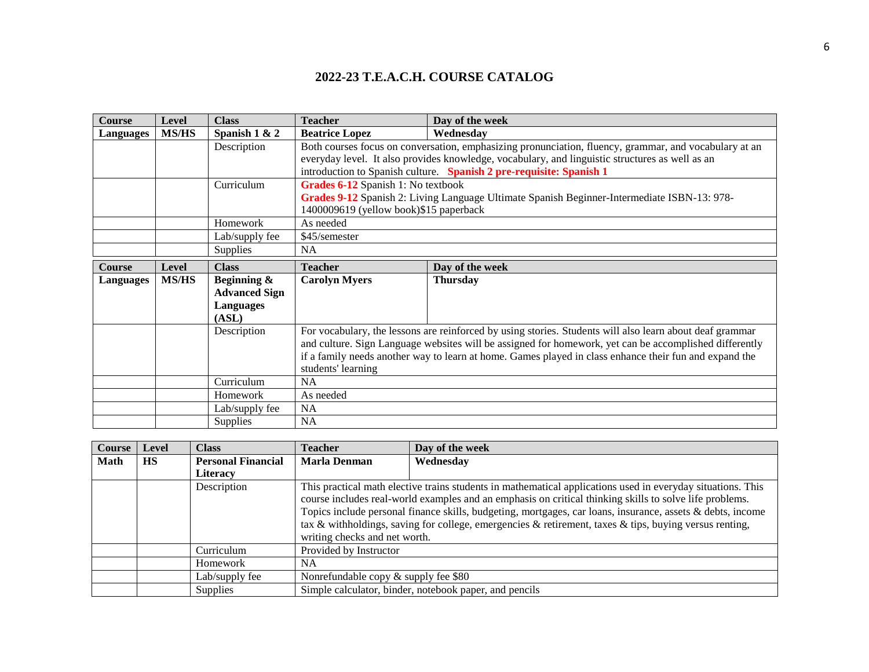| <b>Course</b>    | Level        | <b>Class</b>         | <b>Teacher</b>                         | Day of the week                                                                                          |  |  |
|------------------|--------------|----------------------|----------------------------------------|----------------------------------------------------------------------------------------------------------|--|--|
| <b>Languages</b> | <b>MS/HS</b> | Spanish $1 & 2$      | <b>Beatrice Lopez</b>                  | Wednesday                                                                                                |  |  |
|                  |              | Description          |                                        | Both courses focus on conversation, emphasizing pronunciation, fluency, grammar, and vocabulary at an    |  |  |
|                  |              |                      |                                        | everyday level. It also provides knowledge, vocabulary, and linguistic structures as well as an          |  |  |
|                  |              |                      |                                        | introduction to Spanish culture. Spanish 2 pre-requisite: Spanish 1                                      |  |  |
|                  |              | Curriculum           | Grades 6-12 Spanish 1: No textbook     |                                                                                                          |  |  |
|                  |              |                      |                                        | Grades 9-12 Spanish 2: Living Language Ultimate Spanish Beginner-Intermediate ISBN-13: 978-              |  |  |
|                  |              |                      | 1400009619 (yellow book)\$15 paperback |                                                                                                          |  |  |
|                  |              | Homework             |                                        | As needed                                                                                                |  |  |
|                  |              | Lab/supply fee       | \$45/semester                          |                                                                                                          |  |  |
|                  |              | <b>Supplies</b>      | <b>NA</b>                              |                                                                                                          |  |  |
| Course           | Level        | <b>Class</b>         | <b>Teacher</b>                         | Day of the week                                                                                          |  |  |
| <b>Languages</b> | <b>MS/HS</b> | Beginning &          | <b>Carolyn Myers</b>                   | <b>Thursday</b>                                                                                          |  |  |
|                  |              | <b>Advanced Sign</b> |                                        |                                                                                                          |  |  |
|                  |              | <b>Languages</b>     |                                        |                                                                                                          |  |  |
|                  |              | (ASL)                |                                        |                                                                                                          |  |  |
|                  |              | Description          |                                        | For vocabulary, the lessons are reinforced by using stories. Students will also learn about deaf grammar |  |  |
|                  |              |                      |                                        | and culture. Sign Language websites will be assigned for homework, yet can be accomplished differently   |  |  |
|                  |              |                      |                                        | if a family needs another way to learn at home. Games played in class enhance their fun and expand the   |  |  |
|                  |              |                      | students' learning                     |                                                                                                          |  |  |
|                  |              | Curriculum           | NA                                     |                                                                                                          |  |  |
|                  |              | Homework             | As needed                              |                                                                                                          |  |  |
|                  |              | Lab/supply fee       | <b>NA</b>                              |                                                                                                          |  |  |
|                  |              | <b>Supplies</b>      | NA                                     |                                                                                                          |  |  |

| Course | Level     | <b>Class</b>              | <b>Teacher</b>                                                                                             | Day of the week                                                                                             |
|--------|-----------|---------------------------|------------------------------------------------------------------------------------------------------------|-------------------------------------------------------------------------------------------------------------|
| Math   | <b>HS</b> | <b>Personal Financial</b> | <b>Marla Denman</b>                                                                                        | Wednesday                                                                                                   |
|        |           | <b>Literacy</b>           |                                                                                                            |                                                                                                             |
|        |           | Description               |                                                                                                            | This practical math elective trains students in mathematical applications used in everyday situations. This |
|        |           |                           |                                                                                                            | course includes real-world examples and an emphasis on critical thinking skills to solve life problems.     |
|        |           |                           | Topics include personal finance skills, budgeting, mortgages, car loans, insurance, assets & debts, income |                                                                                                             |
|        |           |                           |                                                                                                            | tax & withholdings, saving for college, emergencies & retirement, taxes & tips, buying versus renting,      |
|        |           |                           | writing checks and net worth.                                                                              |                                                                                                             |
|        |           | Curriculum                | Provided by Instructor                                                                                     |                                                                                                             |
|        |           | Homework                  | NA.                                                                                                        |                                                                                                             |
|        |           | Lab/supply fee            | Nonrefundable copy $&$ supply fee $$80$                                                                    |                                                                                                             |
|        |           | <b>Supplies</b>           |                                                                                                            | Simple calculator, binder, notebook paper, and pencils                                                      |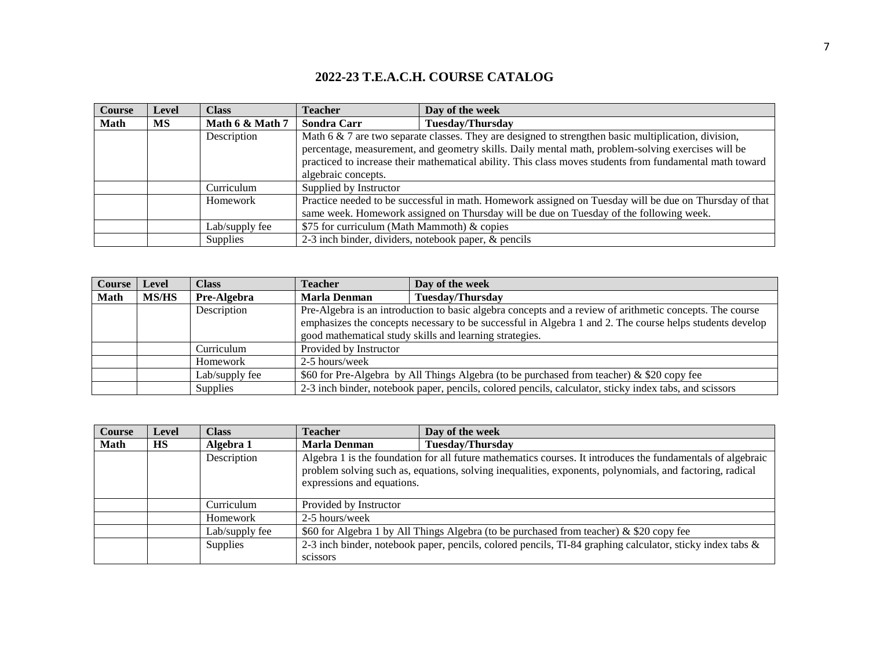| <b>Course</b> | <b>Level</b> | <b>Class</b>    | <b>Teacher</b>                                       | Day of the week                                                                                                                                                                                                                                                                                                           |
|---------------|--------------|-----------------|------------------------------------------------------|---------------------------------------------------------------------------------------------------------------------------------------------------------------------------------------------------------------------------------------------------------------------------------------------------------------------------|
| <b>Math</b>   | МS           | Math 6 & Math 7 | Sondra Carr                                          | <b>Tuesday/Thursday</b>                                                                                                                                                                                                                                                                                                   |
|               |              | Description     | algebraic concepts.                                  | Math $6 \& 7$ are two separate classes. They are designed to strengthen basic multiplication, division,<br>percentage, measurement, and geometry skills. Daily mental math, problem-solving exercises will be<br>practiced to increase their mathematical ability. This class moves students from fundamental math toward |
|               |              | Curriculum      | Supplied by Instructor                               |                                                                                                                                                                                                                                                                                                                           |
|               |              | Homework        |                                                      | Practice needed to be successful in math. Homework assigned on Tuesday will be due on Thursday of that<br>same week. Homework assigned on Thursday will be due on Tuesday of the following week.                                                                                                                          |
|               |              | Lab/supply fee  | \$75 for curriculum (Math Mammoth) & copies          |                                                                                                                                                                                                                                                                                                                           |
|               |              | Supplies        | 2-3 inch binder, dividers, notebook paper, & pencils |                                                                                                                                                                                                                                                                                                                           |

| <b>Course</b> | Level        | <b>Class</b>    | <b>Teacher</b>         | Day of the week                                                                                          |
|---------------|--------------|-----------------|------------------------|----------------------------------------------------------------------------------------------------------|
| <b>Math</b>   | <b>MS/HS</b> | Pre-Algebra     | <b>Marla Denman</b>    | <b>Tuesday/Thursday</b>                                                                                  |
|               |              | Description     |                        | Pre-Algebra is an introduction to basic algebra concepts and a review of arithmetic concepts. The course |
|               |              |                 |                        | emphasizes the concepts necessary to be successful in Algebra 1 and 2. The course helps students develop |
|               |              |                 |                        | good mathematical study skills and learning strategies.                                                  |
|               |              | Curriculum      | Provided by Instructor |                                                                                                          |
|               |              | Homework        | 2-5 hours/week         |                                                                                                          |
|               |              | Lab/supply fee  |                        | \$60 for Pre-Algebra by All Things Algebra (to be purchased from teacher) & \$20 copy fee                |
|               |              | <b>Supplies</b> |                        | 2-3 inch binder, notebook paper, pencils, colored pencils, calculator, sticky index tabs, and scissors   |

| Course      | <b>Level</b> | Class           | <b>Teacher</b>             | Day of the week                                                                                                                                                                                                         |
|-------------|--------------|-----------------|----------------------------|-------------------------------------------------------------------------------------------------------------------------------------------------------------------------------------------------------------------------|
| <b>Math</b> | <b>HS</b>    | Algebra 1       | Marla Denman               | <b>Tuesday/Thursday</b>                                                                                                                                                                                                 |
|             |              | Description     | expressions and equations. | Algebra 1 is the foundation for all future mathematics courses. It introduces the fundamentals of algebraic<br>problem solving such as, equations, solving inequalities, exponents, polynomials, and factoring, radical |
|             |              | Curriculum      | Provided by Instructor     |                                                                                                                                                                                                                         |
|             |              | Homework        | 2-5 hours/week             |                                                                                                                                                                                                                         |
|             |              | Lab/supply fee  |                            | \$60 for Algebra 1 by All Things Algebra (to be purchased from teacher) & \$20 copy fee                                                                                                                                 |
|             |              | <b>Supplies</b> | scissors                   | 2-3 inch binder, notebook paper, pencils, colored pencils, TI-84 graphing calculator, sticky index tabs &                                                                                                               |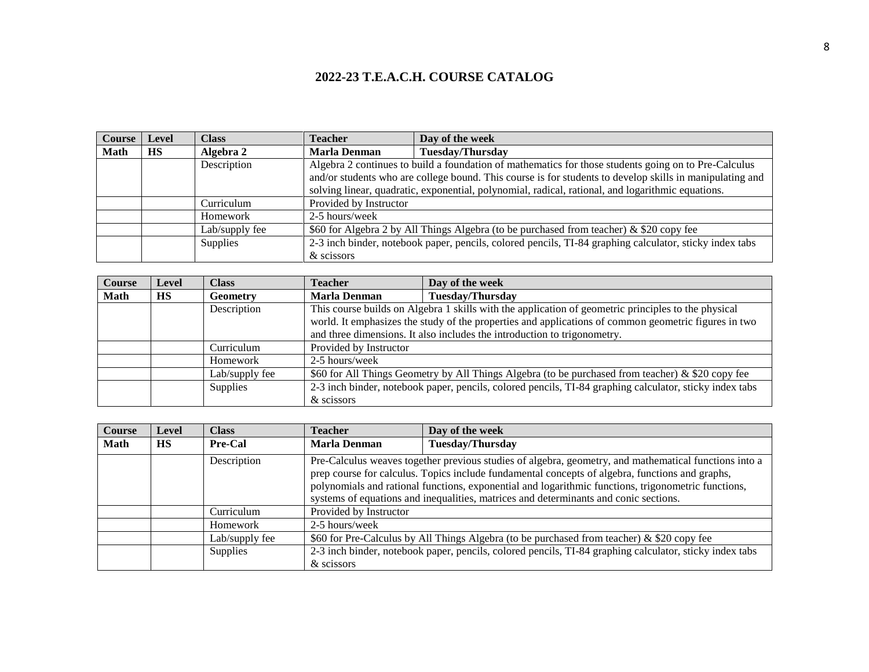| <b>Course</b> | Level     | <b>Class</b>   | <b>Teacher</b>         | Day of the week                                                                                          |
|---------------|-----------|----------------|------------------------|----------------------------------------------------------------------------------------------------------|
| <b>Math</b>   | <b>HS</b> | Algebra 2      | <b>Marla Denman</b>    | <b>Tuesday/Thursday</b>                                                                                  |
|               |           | Description    |                        | Algebra 2 continues to build a foundation of mathematics for those students going on to Pre-Calculus     |
|               |           |                |                        | and/or students who are college bound. This course is for students to develop skills in manipulating and |
|               |           |                |                        | solving linear, quadratic, exponential, polynomial, radical, rational, and logarithmic equations.        |
|               |           | Curriculum     | Provided by Instructor |                                                                                                          |
|               |           | Homework       | 2-5 hours/week         |                                                                                                          |
|               |           | Lab/supply fee |                        | \$60 for Algebra 2 by All Things Algebra (to be purchased from teacher) & \$20 copy fee                  |
|               |           | Supplies       |                        | 2-3 inch binder, notebook paper, pencils, colored pencils, TI-84 graphing calculator, sticky index tabs  |
|               |           |                | & scissors             |                                                                                                          |

| <b>Course</b> | Level     | Class           | <b>Teacher</b>                                                                                    | Day of the week                                                                                         |
|---------------|-----------|-----------------|---------------------------------------------------------------------------------------------------|---------------------------------------------------------------------------------------------------------|
| Math          | <b>HS</b> | <b>Geometry</b> | <b>Marla Denman</b>                                                                               | <b>Tuesday/Thursday</b>                                                                                 |
|               |           | Description     |                                                                                                   | This course builds on Algebra 1 skills with the application of geometric principles to the physical     |
|               |           |                 |                                                                                                   | world. It emphasizes the study of the properties and applications of common geometric figures in two    |
|               |           |                 |                                                                                                   | and three dimensions. It also includes the introduction to trigonometry.                                |
|               |           | Curriculum      | Provided by Instructor                                                                            |                                                                                                         |
|               |           | Homework        | 2-5 hours/week                                                                                    |                                                                                                         |
|               |           | Lab/supply fee  | \$60 for All Things Geometry by All Things Algebra (to be purchased from teacher) & \$20 copy fee |                                                                                                         |
|               |           | Supplies        |                                                                                                   | 2-3 inch binder, notebook paper, pencils, colored pencils, TI-84 graphing calculator, sticky index tabs |
|               |           |                 | & scissors                                                                                        |                                                                                                         |

| Course | <b>Level</b> | Class          | <b>Teacher</b>         | Day of the week                                                                                                                                                                                                                                                                                                                                                                                         |
|--------|--------------|----------------|------------------------|---------------------------------------------------------------------------------------------------------------------------------------------------------------------------------------------------------------------------------------------------------------------------------------------------------------------------------------------------------------------------------------------------------|
| Math   | <b>HS</b>    | Pre-Cal        | <b>Marla Denman</b>    | <b>Tuesday/Thursday</b>                                                                                                                                                                                                                                                                                                                                                                                 |
|        |              | Description    |                        | Pre-Calculus weaves together previous studies of algebra, geometry, and mathematical functions into a<br>prep course for calculus. Topics include fundamental concepts of algebra, functions and graphs,<br>polynomials and rational functions, exponential and logarithmic functions, trigonometric functions,<br>systems of equations and inequalities, matrices and determinants and conic sections. |
|        |              | Curriculum     | Provided by Instructor |                                                                                                                                                                                                                                                                                                                                                                                                         |
|        |              | Homework       | 2-5 hours/week         |                                                                                                                                                                                                                                                                                                                                                                                                         |
|        |              | Lab/supply fee |                        | \$60 for Pre-Calculus by All Things Algebra (to be purchased from teacher) & \$20 copy fee                                                                                                                                                                                                                                                                                                              |
|        |              | Supplies       | & scissors             | 2-3 inch binder, notebook paper, pencils, colored pencils, TI-84 graphing calculator, sticky index tabs                                                                                                                                                                                                                                                                                                 |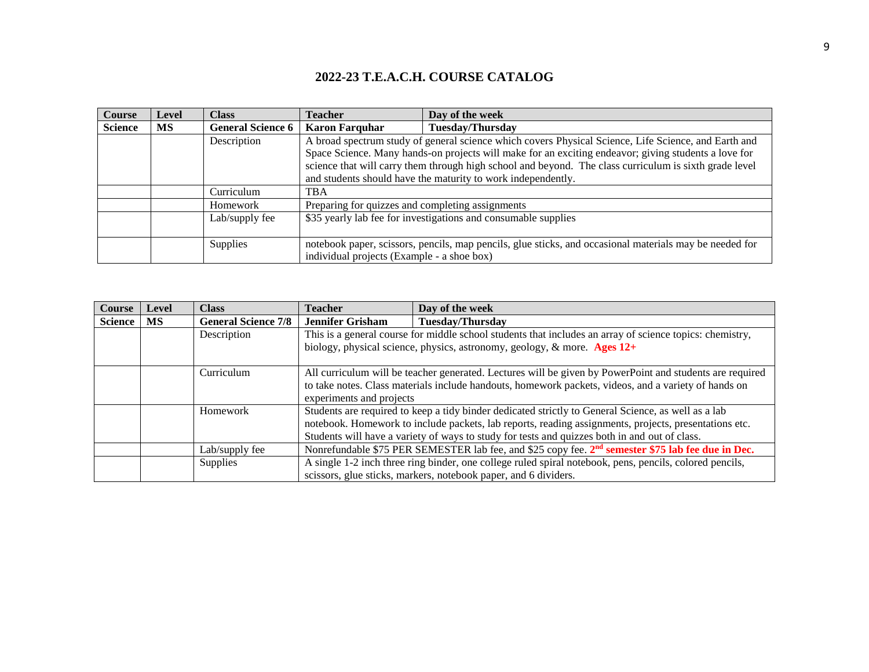| Course         | Level     | <b>Class</b>             | <b>Teacher</b>                                   | Day of the week                                                                                         |
|----------------|-----------|--------------------------|--------------------------------------------------|---------------------------------------------------------------------------------------------------------|
| <b>Science</b> | <b>MS</b> | <b>General Science 6</b> | <b>Karon Farquhar</b>                            | <b>Tuesday/Thursday</b>                                                                                 |
|                |           | Description              |                                                  | A broad spectrum study of general science which covers Physical Science, Life Science, and Earth and    |
|                |           |                          |                                                  | Space Science. Many hands-on projects will make for an exciting endeavor; giving students a love for    |
|                |           |                          |                                                  | science that will carry them through high school and beyond. The class curriculum is sixth grade level  |
|                |           |                          |                                                  | and students should have the maturity to work independently.                                            |
|                |           | Curriculum               | <b>TBA</b>                                       |                                                                                                         |
|                |           | Homework                 | Preparing for quizzes and completing assignments |                                                                                                         |
|                |           | Lab/supply fee           |                                                  | \$35 yearly lab fee for investigations and consumable supplies                                          |
|                |           |                          |                                                  |                                                                                                         |
|                |           | Supplies                 |                                                  | notebook paper, scissors, pencils, map pencils, glue sticks, and occasional materials may be needed for |
|                |           |                          | individual projects (Example - a shoe box)       |                                                                                                         |

| <b>Course</b>  | Level | <b>Class</b>               | Teacher                                                                                             | Day of the week                                                                                               |  |
|----------------|-------|----------------------------|-----------------------------------------------------------------------------------------------------|---------------------------------------------------------------------------------------------------------------|--|
| <b>Science</b> | MS    | <b>General Science 7/8</b> | <b>Jennifer Grisham</b>                                                                             | <b>Tuesday/Thursday</b>                                                                                       |  |
|                |       | Description                |                                                                                                     | This is a general course for middle school students that includes an array of science topics: chemistry,      |  |
|                |       |                            |                                                                                                     | biology, physical science, physics, astronomy, geology, $\&$ more. Ages 12+                                   |  |
|                |       |                            |                                                                                                     |                                                                                                               |  |
|                |       | Curriculum                 |                                                                                                     | All curriculum will be teacher generated. Lectures will be given by PowerPoint and students are required      |  |
|                |       |                            |                                                                                                     | to take notes. Class materials include handouts, homework packets, videos, and a variety of hands on          |  |
|                |       |                            | experiments and projects                                                                            |                                                                                                               |  |
|                |       | Homework                   | Students are required to keep a tidy binder dedicated strictly to General Science, as well as a lab |                                                                                                               |  |
|                |       |                            |                                                                                                     | notebook. Homework to include packets, lab reports, reading assignments, projects, presentations etc.         |  |
|                |       |                            |                                                                                                     | Students will have a variety of ways to study for tests and quizzes both in and out of class.                 |  |
|                |       | Lab/supply fee             |                                                                                                     | Nonrefundable \$75 PER SEMESTER lab fee, and \$25 copy fee. 2 <sup>nd</sup> semester \$75 lab fee due in Dec. |  |
|                |       | <b>Supplies</b>            |                                                                                                     | A single 1-2 inch three ring binder, one college ruled spiral notebook, pens, pencils, colored pencils,       |  |
|                |       |                            |                                                                                                     | scissors, glue sticks, markers, notebook paper, and 6 dividers.                                               |  |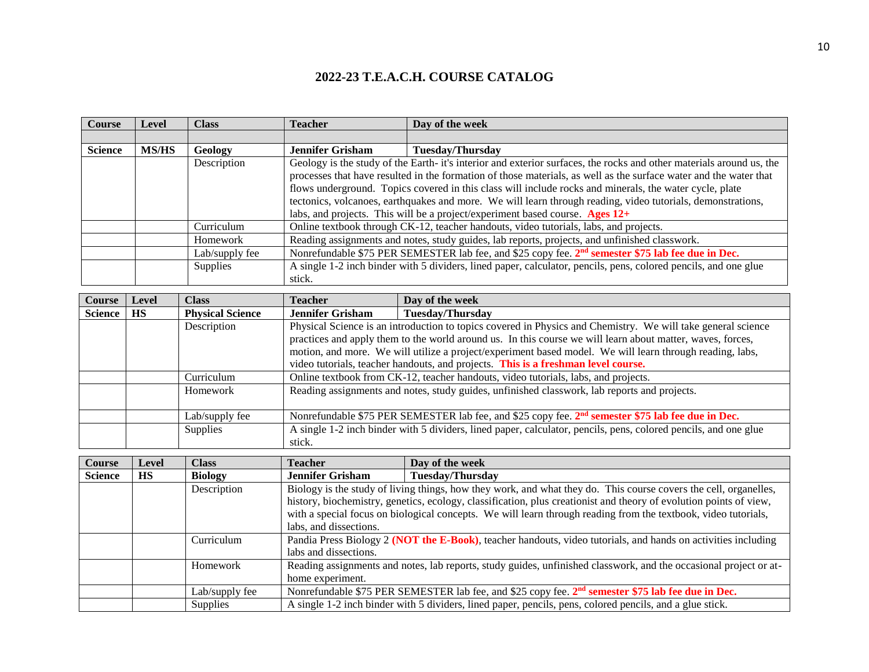| <b>Course</b>  | Level        | <b>Class</b>   | <b>Teacher</b>          | Day of the week                                                                                                      |
|----------------|--------------|----------------|-------------------------|----------------------------------------------------------------------------------------------------------------------|
|                |              |                |                         |                                                                                                                      |
| <b>Science</b> | <b>MS/HS</b> | Geology        | <b>Jennifer Grisham</b> | <b>Tuesday/Thursday</b>                                                                                              |
|                |              | Description    |                         | Geology is the study of the Earth- it's interior and exterior surfaces, the rocks and other materials around us, the |
|                |              |                |                         | processes that have resulted in the formation of those materials, as well as the surface water and the water that    |
|                |              |                |                         | flows underground. Topics covered in this class will include rocks and minerals, the water cycle, plate              |
|                |              |                |                         | tectonics, volcanoes, earthquakes and more. We will learn through reading, video tutorials, demonstrations,          |
|                |              |                |                         | labs, and projects. This will be a project/experiment based course. Ages $12+$                                       |
|                |              | Curriculum     |                         | Online textbook through CK-12, teacher handouts, video tutorials, labs, and projects.                                |
|                |              | Homework       |                         | Reading assignments and notes, study guides, lab reports, projects, and unfinished classwork.                        |
|                |              | Lab/supply fee |                         | Nonrefundable \$75 PER SEMESTER lab fee, and \$25 copy fee. 2 <sup>nd</sup> semester \$75 lab fee due in Dec.        |
|                |              | Supplies       |                         | A single 1-2 inch binder with 5 dividers, lined paper, calculator, pencils, pens, colored pencils, and one glue      |
|                |              |                | stick.                  |                                                                                                                      |

| Course         | Level     | <b>Class</b>            | <b>Teacher</b>                                                                                           | Day of the week                                                                                                 |  |
|----------------|-----------|-------------------------|----------------------------------------------------------------------------------------------------------|-----------------------------------------------------------------------------------------------------------------|--|
| <b>Science</b> | <b>HS</b> | <b>Physical Science</b> | <b>Jennifer Grisham</b>                                                                                  | <b>Tuesday/Thursday</b>                                                                                         |  |
|                |           | Description             |                                                                                                          | Physical Science is an introduction to topics covered in Physics and Chemistry. We will take general science    |  |
|                |           |                         |                                                                                                          | practices and apply them to the world around us. In this course we will learn about matter, waves, forces,      |  |
|                |           |                         | motion, and more. We will utilize a project/experiment based model. We will learn through reading, labs, |                                                                                                                 |  |
|                |           |                         | video tutorials, teacher handouts, and projects. This is a freshman level course.                        |                                                                                                                 |  |
|                |           | Curriculum              | Online textbook from CK-12, teacher handouts, video tutorials, labs, and projects.                       |                                                                                                                 |  |
|                |           | Homework                | Reading assignments and notes, study guides, unfinished classwork, lab reports and projects.             |                                                                                                                 |  |
|                |           |                         |                                                                                                          |                                                                                                                 |  |
|                |           | Lab/supply fee          |                                                                                                          | Nonrefundable \$75 PER SEMESTER lab fee, and \$25 copy fee. 2 <sup>nd</sup> semester \$75 lab fee due in Dec.   |  |
|                |           | Supplies                |                                                                                                          | A single 1-2 inch binder with 5 dividers, lined paper, calculator, pencils, pens, colored pencils, and one glue |  |
|                |           |                         | stick.                                                                                                   |                                                                                                                 |  |

| <b>Course</b>  | Level     | <b>Class</b>   | <b>Teacher</b>          | Day of the week                                                                                                    |
|----------------|-----------|----------------|-------------------------|--------------------------------------------------------------------------------------------------------------------|
| <b>Science</b> | <b>HS</b> | <b>Biology</b> | <b>Jennifer Grisham</b> | <b>Tuesday/Thursday</b>                                                                                            |
|                |           | Description    |                         | Biology is the study of living things, how they work, and what they do. This course covers the cell, organelles,   |
|                |           |                |                         | history, biochemistry, genetics, ecology, classification, plus creationist and theory of evolution points of view, |
|                |           |                |                         | with a special focus on biological concepts. We will learn through reading from the textbook, video tutorials,     |
|                |           |                | labs, and dissections.  |                                                                                                                    |
|                |           | Curriculum     |                         | Pandia Press Biology 2 (NOT the E-Book), teacher handouts, video tutorials, and hands on activities including      |
|                |           |                | labs and dissections.   |                                                                                                                    |
|                |           | Homework       |                         | Reading assignments and notes, lab reports, study guides, unfinished classwork, and the occasional project or at-  |
|                |           |                | home experiment.        |                                                                                                                    |
|                |           | Lab/supply fee |                         | Nonrefundable \$75 PER SEMESTER lab fee, and \$25 copy fee. 2 <sup>nd</sup> semester \$75 lab fee due in Dec.      |
|                |           | Supplies       |                         | A single 1-2 inch binder with 5 dividers, lined paper, pencils, pens, colored pencils, and a glue stick.           |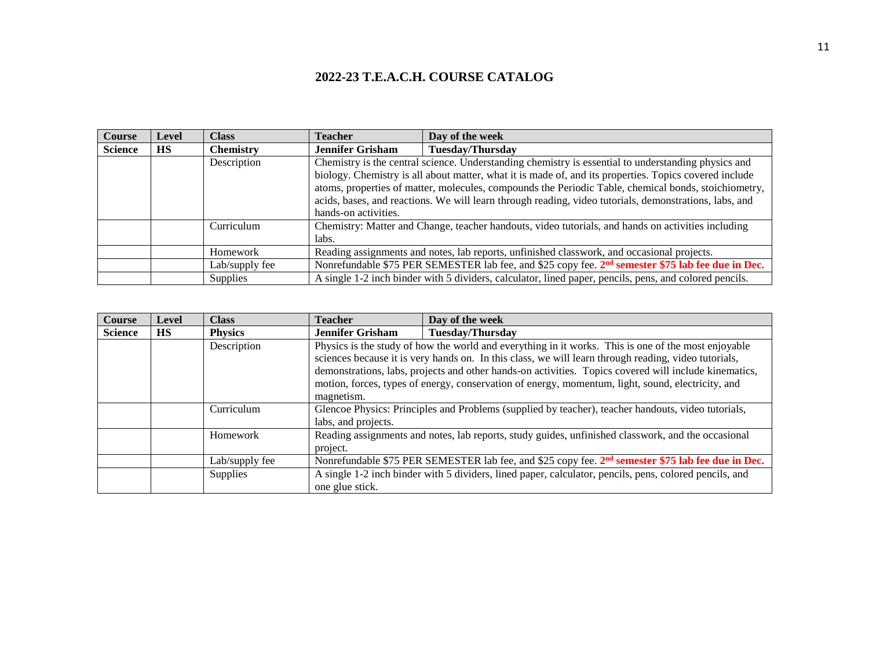| Course         | <b>Level</b> | Class            | Teacher                                                                                                | Day of the week                                                                                               |  |
|----------------|--------------|------------------|--------------------------------------------------------------------------------------------------------|---------------------------------------------------------------------------------------------------------------|--|
| <b>Science</b> | <b>HS</b>    | <b>Chemistry</b> | <b>Jennifer Grisham</b>                                                                                | <b>Tuesday/Thursday</b>                                                                                       |  |
|                |              | Description      |                                                                                                        | Chemistry is the central science. Understanding chemistry is essential to understanding physics and           |  |
|                |              |                  |                                                                                                        | biology. Chemistry is all about matter, what it is made of, and its properties. Topics covered include        |  |
|                |              |                  |                                                                                                        | atoms, properties of matter, molecules, compounds the Periodic Table, chemical bonds, stoichiometry,          |  |
|                |              |                  | acids, bases, and reactions. We will learn through reading, video tutorials, demonstrations, labs, and |                                                                                                               |  |
|                |              |                  | hands-on activities.                                                                                   |                                                                                                               |  |
|                |              | Curriculum       | Chemistry: Matter and Change, teacher handouts, video tutorials, and hands on activities including     |                                                                                                               |  |
|                |              |                  | labs.                                                                                                  |                                                                                                               |  |
|                |              | Homework         |                                                                                                        | Reading assignments and notes, lab reports, unfinished classwork, and occasional projects.                    |  |
|                |              | Lab/supply fee   |                                                                                                        | Nonrefundable \$75 PER SEMESTER lab fee, and \$25 copy fee. 2 <sup>nd</sup> semester \$75 lab fee due in Dec. |  |
|                |              | <b>Supplies</b>  |                                                                                                        | A single 1-2 inch binder with 5 dividers, calculator, lined paper, pencils, pens, and colored pencils.        |  |

| <b>Course</b>  | Level     | <b>Class</b>   | <b>Teacher</b>                                                                                     | Day of the week                                                                                               |  |
|----------------|-----------|----------------|----------------------------------------------------------------------------------------------------|---------------------------------------------------------------------------------------------------------------|--|
| <b>Science</b> | <b>HS</b> | <b>Physics</b> | <b>Jennifer Grisham</b>                                                                            | <b>Tuesday/Thursday</b>                                                                                       |  |
|                |           | Description    |                                                                                                    | Physics is the study of how the world and everything in it works. This is one of the most enjoyable           |  |
|                |           |                |                                                                                                    | sciences because it is very hands on. In this class, we will learn through reading, video tutorials,          |  |
|                |           |                |                                                                                                    | demonstrations, labs, projects and other hands-on activities. Topics covered will include kinematics,         |  |
|                |           |                |                                                                                                    | motion, forces, types of energy, conservation of energy, momentum, light, sound, electricity, and             |  |
|                |           |                | magnetism.                                                                                         |                                                                                                               |  |
|                |           | Curriculum     | Glencoe Physics: Principles and Problems (supplied by teacher), teacher handouts, video tutorials, |                                                                                                               |  |
|                |           |                | labs, and projects.                                                                                |                                                                                                               |  |
|                |           | Homework       | Reading assignments and notes, lab reports, study guides, unfinished classwork, and the occasional |                                                                                                               |  |
|                |           |                | project.                                                                                           |                                                                                                               |  |
|                |           | Lab/supply fee |                                                                                                    | Nonrefundable \$75 PER SEMESTER lab fee, and \$25 copy fee. 2 <sup>nd</sup> semester \$75 lab fee due in Dec. |  |
|                |           | Supplies       |                                                                                                    | A single 1-2 inch binder with 5 dividers, lined paper, calculator, pencils, pens, colored pencils, and        |  |
|                |           |                | one glue stick.                                                                                    |                                                                                                               |  |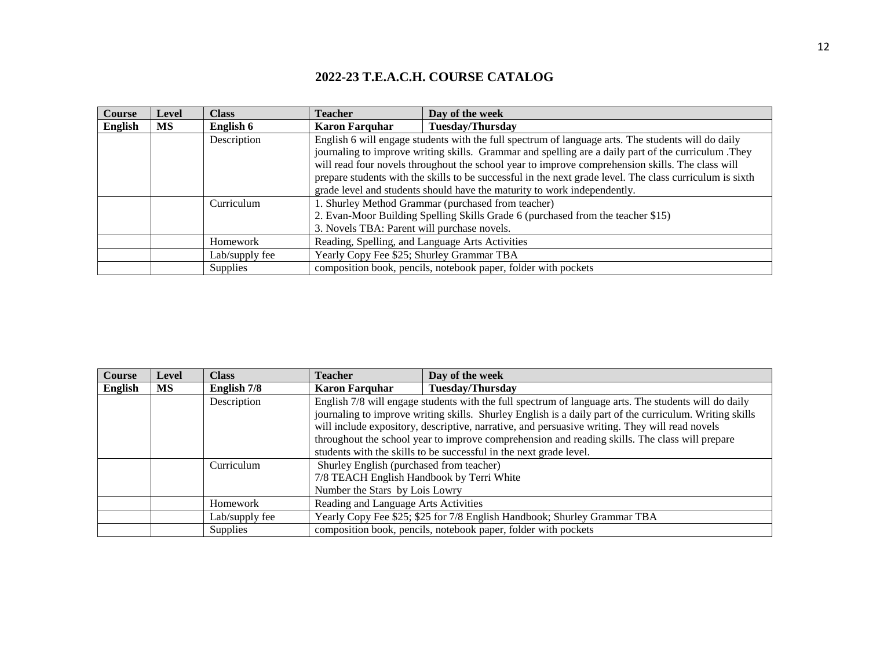| <b>Course</b> | Level | Class           | Teacher                                            | Day of the week                                                                                          |
|---------------|-------|-----------------|----------------------------------------------------|----------------------------------------------------------------------------------------------------------|
| English       | MS.   | English 6       | <b>Karon Farquhar</b>                              | <b>Tuesday/Thursday</b>                                                                                  |
|               |       | Description     |                                                    | English 6 will engage students with the full spectrum of language arts. The students will do daily       |
|               |       |                 |                                                    | journaling to improve writing skills. Grammar and spelling are a daily part of the curriculum .They      |
|               |       |                 |                                                    | will read four novels throughout the school year to improve comprehension skills. The class will         |
|               |       |                 |                                                    | prepare students with the skills to be successful in the next grade level. The class curriculum is sixth |
|               |       |                 |                                                    | grade level and students should have the maturity to work independently.                                 |
|               |       | Curriculum      | 1. Shurley Method Grammar (purchased from teacher) |                                                                                                          |
|               |       |                 |                                                    | 2. Evan-Moor Building Spelling Skills Grade 6 (purchased from the teacher \$15)                          |
|               |       |                 | 3. Novels TBA: Parent will purchase novels.        |                                                                                                          |
|               |       | Homework        | Reading, Spelling, and Language Arts Activities    |                                                                                                          |
|               |       | Lab/supply fee  | Yearly Copy Fee \$25; Shurley Grammar TBA          |                                                                                                          |
|               |       | <b>Supplies</b> |                                                    | composition book, pencils, notebook paper, folder with pockets                                           |

| <b>Course</b> | <b>Level</b> | <b>Class</b>    | <b>Teacher</b>                                                                                                          | Day of the week                                                                                                                                                                                                                                                                                                                                                                                                                                                                           |
|---------------|--------------|-----------------|-------------------------------------------------------------------------------------------------------------------------|-------------------------------------------------------------------------------------------------------------------------------------------------------------------------------------------------------------------------------------------------------------------------------------------------------------------------------------------------------------------------------------------------------------------------------------------------------------------------------------------|
| English       | MS.          | English 7/8     | <b>Karon Farquhar</b>                                                                                                   | <b>Tuesday/Thursday</b>                                                                                                                                                                                                                                                                                                                                                                                                                                                                   |
|               |              | Description     |                                                                                                                         | English 7/8 will engage students with the full spectrum of language arts. The students will do daily<br>journaling to improve writing skills. Shurley English is a daily part of the curriculum. Writing skills<br>will include expository, descriptive, narrative, and persuasive writing. They will read novels<br>throughout the school year to improve comprehension and reading skills. The class will prepare<br>students with the skills to be successful in the next grade level. |
|               |              | Curriculum      | Shurley English (purchased from teacher)<br>7/8 TEACH English Handbook by Terri White<br>Number the Stars by Lois Lowry |                                                                                                                                                                                                                                                                                                                                                                                                                                                                                           |
|               |              | Homework        | Reading and Language Arts Activities                                                                                    |                                                                                                                                                                                                                                                                                                                                                                                                                                                                                           |
|               |              | Lab/supply fee  |                                                                                                                         | Yearly Copy Fee \$25; \$25 for 7/8 English Handbook; Shurley Grammar TBA                                                                                                                                                                                                                                                                                                                                                                                                                  |
|               |              | <b>Supplies</b> |                                                                                                                         | composition book, pencils, notebook paper, folder with pockets                                                                                                                                                                                                                                                                                                                                                                                                                            |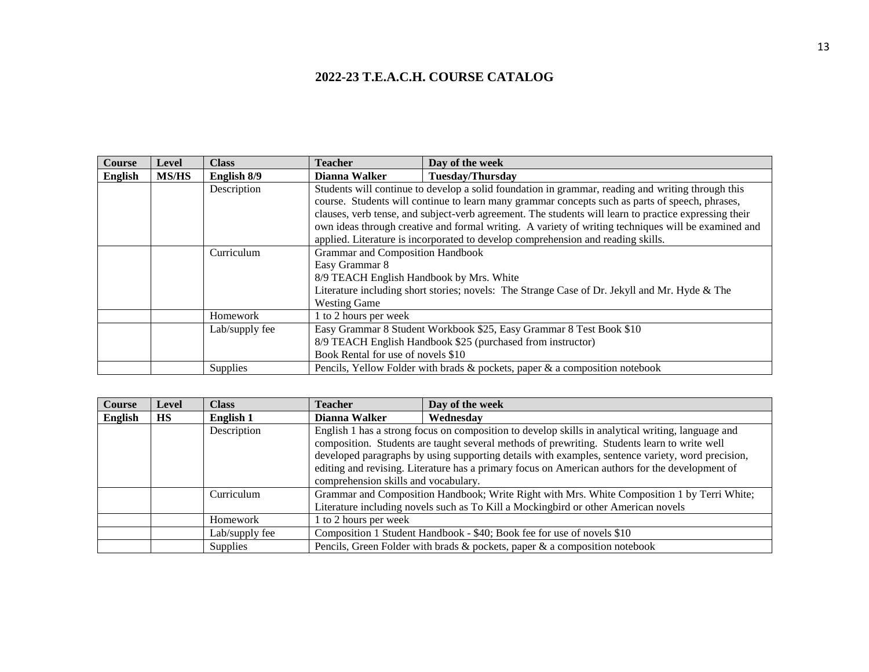| <b>Course</b>  | Level        | <b>Class</b>   | <b>Teacher</b>                                                                                | Day of the week                                                                                       |
|----------------|--------------|----------------|-----------------------------------------------------------------------------------------------|-------------------------------------------------------------------------------------------------------|
| <b>English</b> | <b>MS/HS</b> | English 8/9    | Dianna Walker                                                                                 | <b>Tuesday/Thursday</b>                                                                               |
|                |              | Description    |                                                                                               | Students will continue to develop a solid foundation in grammar, reading and writing through this     |
|                |              |                |                                                                                               | course. Students will continue to learn many grammar concepts such as parts of speech, phrases,       |
|                |              |                |                                                                                               | clauses, verb tense, and subject-verb agreement. The students will learn to practice expressing their |
|                |              |                |                                                                                               | own ideas through creative and formal writing. A variety of writing techniques will be examined and   |
|                |              |                |                                                                                               | applied. Literature is incorporated to develop comprehension and reading skills.                      |
|                |              | Curriculum     | Grammar and Composition Handbook                                                              |                                                                                                       |
|                |              |                | Easy Grammar 8                                                                                |                                                                                                       |
|                |              |                | 8/9 TEACH English Handbook by Mrs. White                                                      |                                                                                                       |
|                |              |                | Literature including short stories; novels: The Strange Case of Dr. Jekyll and Mr. Hyde & The |                                                                                                       |
|                |              |                | <b>Westing Game</b>                                                                           |                                                                                                       |
|                |              | Homework       | 1 to 2 hours per week                                                                         |                                                                                                       |
|                |              | Lab/supply fee |                                                                                               | Easy Grammar 8 Student Workbook \$25, Easy Grammar 8 Test Book \$10                                   |
|                |              |                |                                                                                               | 8/9 TEACH English Handbook \$25 (purchased from instructor)                                           |
|                |              |                | Book Rental for use of novels \$10                                                            |                                                                                                       |
|                |              | Supplies       |                                                                                               | Pencils, Yellow Folder with brads & pockets, paper & a composition notebook                           |

| <b>Course</b> | Level     | <b>Class</b>   | <b>Teacher</b>                                                                                                                                                                    | Day of the week                                                                                                                                                                                                                                                                                                                                                                                           |
|---------------|-----------|----------------|-----------------------------------------------------------------------------------------------------------------------------------------------------------------------------------|-----------------------------------------------------------------------------------------------------------------------------------------------------------------------------------------------------------------------------------------------------------------------------------------------------------------------------------------------------------------------------------------------------------|
| English       | <b>HS</b> | English 1      | Dianna Walker                                                                                                                                                                     | Wednesdav                                                                                                                                                                                                                                                                                                                                                                                                 |
|               |           | Description    | comprehension skills and vocabulary.                                                                                                                                              | English 1 has a strong focus on composition to develop skills in analytical writing, language and<br>composition. Students are taught several methods of prewriting. Students learn to write well<br>developed paragraphs by using supporting details with examples, sentence variety, word precision,<br>editing and revising. Literature has a primary focus on American authors for the development of |
|               |           | Curriculum     | Grammar and Composition Handbook; Write Right with Mrs. White Composition 1 by Terri White;<br>Literature including novels such as To Kill a Mockingbird or other American novels |                                                                                                                                                                                                                                                                                                                                                                                                           |
|               |           | Homework       | 1 to 2 hours per week                                                                                                                                                             |                                                                                                                                                                                                                                                                                                                                                                                                           |
|               |           | Lab/supply fee |                                                                                                                                                                                   | Composition 1 Student Handbook - \$40; Book fee for use of novels \$10                                                                                                                                                                                                                                                                                                                                    |
|               |           | Supplies       |                                                                                                                                                                                   | Pencils, Green Folder with brads & pockets, paper & a composition notebook                                                                                                                                                                                                                                                                                                                                |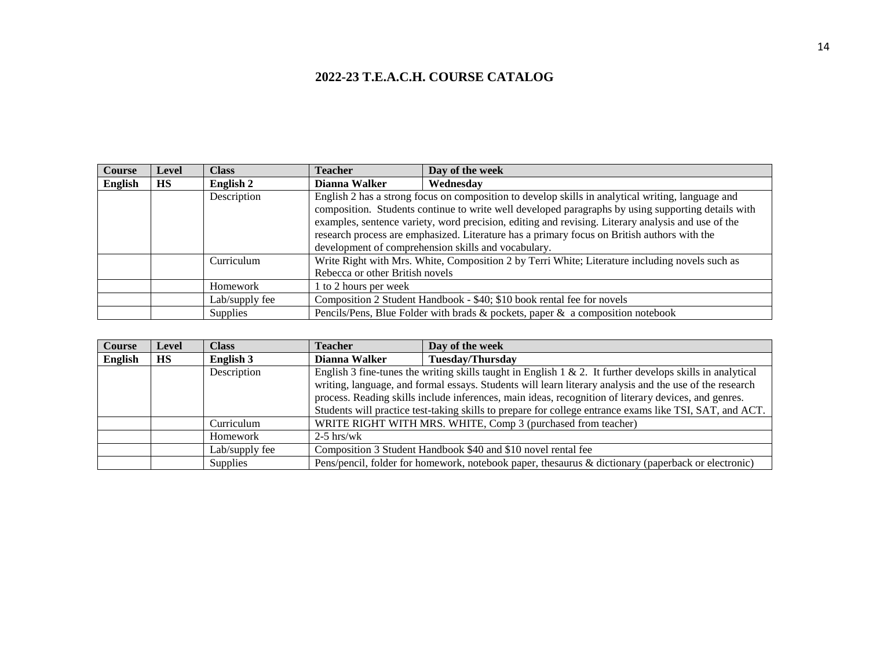| Course  | <b>Level</b> | <b>Class</b>    | Teacher                                                                                        | Day of the week                                                                                    |  |  |
|---------|--------------|-----------------|------------------------------------------------------------------------------------------------|----------------------------------------------------------------------------------------------------|--|--|
| English | <b>HS</b>    | English 2       | Dianna Walker                                                                                  | Wednesdav                                                                                          |  |  |
|         |              | Description     |                                                                                                | English 2 has a strong focus on composition to develop skills in analytical writing, language and  |  |  |
|         |              |                 |                                                                                                | composition. Students continue to write well developed paragraphs by using supporting details with |  |  |
|         |              |                 |                                                                                                | examples, sentence variety, word precision, editing and revising. Literary analysis and use of the |  |  |
|         |              |                 | research process are emphasized. Literature has a primary focus on British authors with the    |                                                                                                    |  |  |
|         |              |                 |                                                                                                | development of comprehension skills and vocabulary.                                                |  |  |
|         |              | Curriculum      | Write Right with Mrs. White, Composition 2 by Terri White; Literature including novels such as |                                                                                                    |  |  |
|         |              |                 | Rebecca or other British novels                                                                |                                                                                                    |  |  |
|         |              | <b>Homework</b> | 1 to 2 hours per week                                                                          |                                                                                                    |  |  |
|         |              | Lab/supply fee  |                                                                                                | Composition 2 Student Handbook - \$40; \$10 book rental fee for novels                             |  |  |
|         |              | Supplies        |                                                                                                | Pencils/Pens, Blue Folder with brads & pockets, paper & a composition notebook                     |  |  |

| Course         | Level     | <b>Class</b>   | Teacher                                                      | Day of the week                                                                                           |
|----------------|-----------|----------------|--------------------------------------------------------------|-----------------------------------------------------------------------------------------------------------|
| <b>English</b> | <b>HS</b> | English 3      | Dianna Walker                                                | <b>Tuesday/Thursday</b>                                                                                   |
|                |           | Description    |                                                              | English 3 fine-tunes the writing skills taught in English 1 & 2. It further develops skills in analytical |
|                |           |                |                                                              | writing, language, and formal essays. Students will learn literary analysis and the use of the research   |
|                |           |                |                                                              | process. Reading skills include inferences, main ideas, recognition of literary devices, and genres.      |
|                |           |                |                                                              | Students will practice test-taking skills to prepare for college entrance exams like TSI, SAT, and ACT.   |
|                |           | Curriculum     | WRITE RIGHT WITH MRS. WHITE, Comp 3 (purchased from teacher) |                                                                                                           |
|                |           | Homework       | $2-5$ hrs/wk                                                 |                                                                                                           |
|                |           | Lab/supply fee |                                                              | Composition 3 Student Handbook \$40 and \$10 novel rental fee                                             |
|                |           | Supplies       |                                                              | Pens/pencil, folder for homework, notebook paper, thesaurus & dictionary (paperback or electronic)        |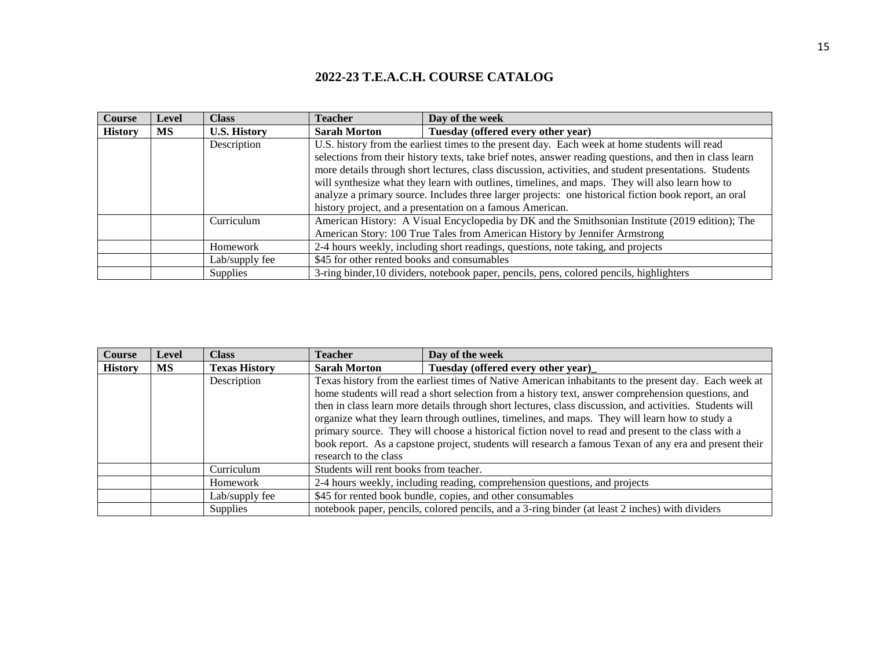| <b>Course</b>  | Level | <b>Class</b>        | Teacher                                                                                         | Day of the week                                                                                          |
|----------------|-------|---------------------|-------------------------------------------------------------------------------------------------|----------------------------------------------------------------------------------------------------------|
| <b>History</b> | MS    | <b>U.S. History</b> | <b>Sarah Morton</b>                                                                             | Tuesday (offered every other year)                                                                       |
|                |       | Description         |                                                                                                 | U.S. history from the earliest times to the present day. Each week at home students will read            |
|                |       |                     |                                                                                                 | selections from their history texts, take brief notes, answer reading questions, and then in class learn |
|                |       |                     |                                                                                                 | more details through short lectures, class discussion, activities, and student presentations. Students   |
|                |       |                     |                                                                                                 | will synthesize what they learn with outlines, timelines, and maps. They will also learn how to          |
|                |       |                     |                                                                                                 | analyze a primary source. Includes three larger projects: one historical fiction book report, an oral    |
|                |       |                     |                                                                                                 | history project, and a presentation on a famous American.                                                |
|                |       | Curriculum          | American History: A Visual Encyclopedia by DK and the Smithsonian Institute (2019 edition); The |                                                                                                          |
|                |       |                     |                                                                                                 | American Story: 100 True Tales from American History by Jennifer Armstrong                               |
|                |       | Homework            |                                                                                                 | 2-4 hours weekly, including short readings, questions, note taking, and projects                         |
|                |       | Lab/supply fee      | \$45 for other rented books and consumables                                                     |                                                                                                          |
|                |       | <b>Supplies</b>     |                                                                                                 | 3-ring binder, 10 dividers, notebook paper, pencils, pens, colored pencils, highlighters                 |

| <b>Course</b>  | Level | <b>Class</b>         | <b>Teacher</b>                         | Day of the week                                                                                                                                                                                                                                                                                                                                                                                                                                                                                                                                                                                                                            |
|----------------|-------|----------------------|----------------------------------------|--------------------------------------------------------------------------------------------------------------------------------------------------------------------------------------------------------------------------------------------------------------------------------------------------------------------------------------------------------------------------------------------------------------------------------------------------------------------------------------------------------------------------------------------------------------------------------------------------------------------------------------------|
| <b>History</b> | МS    | <b>Texas History</b> | <b>Sarah Morton</b>                    | Tuesday (offered every other year)                                                                                                                                                                                                                                                                                                                                                                                                                                                                                                                                                                                                         |
|                |       | Description          |                                        | Texas history from the earliest times of Native American inhabitants to the present day. Each week at<br>home students will read a short selection from a history text, answer comprehension questions, and<br>then in class learn more details through short lectures, class discussion, and activities. Students will<br>organize what they learn through outlines, timelines, and maps. They will learn how to study a<br>primary source. They will choose a historical fiction novel to read and present to the class with a<br>book report. As a capstone project, students will research a famous Texan of any era and present their |
|                |       |                      | research to the class                  |                                                                                                                                                                                                                                                                                                                                                                                                                                                                                                                                                                                                                                            |
|                |       | Curriculum           | Students will rent books from teacher. |                                                                                                                                                                                                                                                                                                                                                                                                                                                                                                                                                                                                                                            |
|                |       | Homework             |                                        | 2-4 hours weekly, including reading, comprehension questions, and projects                                                                                                                                                                                                                                                                                                                                                                                                                                                                                                                                                                 |
|                |       | Lab/supply fee       |                                        | \$45 for rented book bundle, copies, and other consumables                                                                                                                                                                                                                                                                                                                                                                                                                                                                                                                                                                                 |
|                |       | <b>Supplies</b>      |                                        | notebook paper, pencils, colored pencils, and a 3-ring binder (at least 2 inches) with dividers                                                                                                                                                                                                                                                                                                                                                                                                                                                                                                                                            |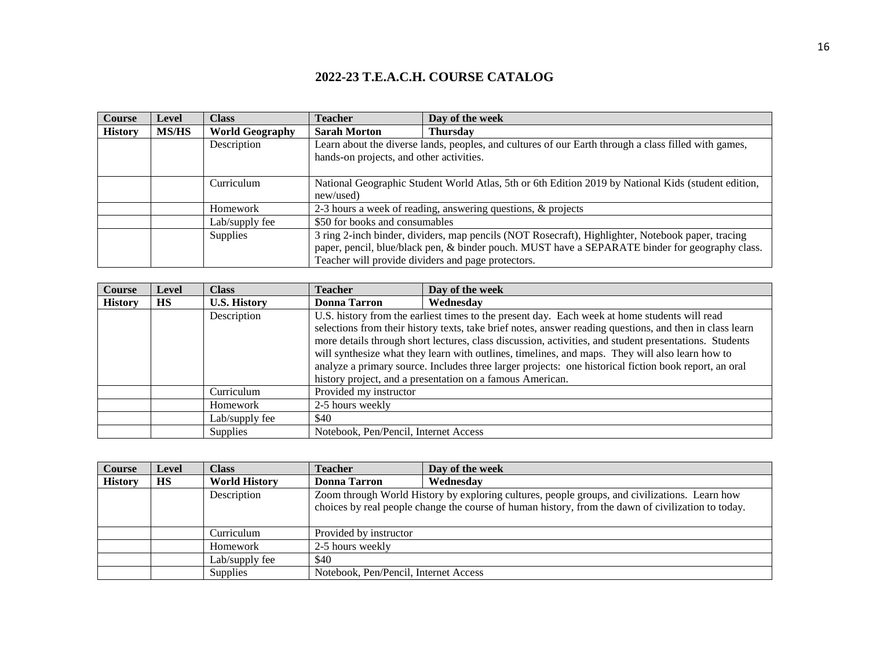| <b>Course</b>  | <b>Level</b> | <b>Class</b>           | <b>Teacher</b>                                                                                      | Day of the week                                                                                      |
|----------------|--------------|------------------------|-----------------------------------------------------------------------------------------------------|------------------------------------------------------------------------------------------------------|
| <b>History</b> | <b>MS/HS</b> | <b>World Geography</b> | <b>Sarah Morton</b>                                                                                 | <b>Thursday</b>                                                                                      |
|                |              | Description            |                                                                                                     | Learn about the diverse lands, peoples, and cultures of our Earth through a class filled with games, |
|                |              |                        | hands-on projects, and other activities.                                                            |                                                                                                      |
|                |              |                        |                                                                                                     |                                                                                                      |
|                |              | Curriculum             | National Geographic Student World Atlas, 5th or 6th Edition 2019 by National Kids (student edition, |                                                                                                      |
|                |              |                        | new/used)                                                                                           |                                                                                                      |
|                |              | Homework               | 2-3 hours a week of reading, answering questions, & projects                                        |                                                                                                      |
|                |              | Lab/supply fee         | \$50 for books and consumables                                                                      |                                                                                                      |
|                |              | <b>Supplies</b>        |                                                                                                     | 3 ring 2-inch binder, dividers, map pencils (NOT Rosecraft), Highlighter, Notebook paper, tracing    |
|                |              |                        |                                                                                                     | paper, pencil, blue/black pen, & binder pouch. MUST have a SEPARATE binder for geography class.      |
|                |              |                        |                                                                                                     | Teacher will provide dividers and page protectors.                                                   |

| <b>Course</b>  | <b>Level</b> | <b>Class</b>        | Teacher                                                                                                  | Day of the week                                           |
|----------------|--------------|---------------------|----------------------------------------------------------------------------------------------------------|-----------------------------------------------------------|
| <b>History</b> | <b>HS</b>    | <b>U.S. History</b> | <b>Donna Tarron</b>                                                                                      | Wednesdav                                                 |
|                |              | Description         | U.S. history from the earliest times to the present day. Each week at home students will read            |                                                           |
|                |              |                     | selections from their history texts, take brief notes, answer reading questions, and then in class learn |                                                           |
|                |              |                     | more details through short lectures, class discussion, activities, and student presentations. Students   |                                                           |
|                |              |                     | will synthesize what they learn with outlines, timelines, and maps. They will also learn how to          |                                                           |
|                |              |                     | analyze a primary source. Includes three larger projects: one historical fiction book report, an oral    |                                                           |
|                |              |                     |                                                                                                          | history project, and a presentation on a famous American. |
|                |              | Curriculum          | Provided my instructor                                                                                   |                                                           |
|                |              | Homework            | 2-5 hours weekly                                                                                         |                                                           |
|                |              | Lab/supply fee      | \$40                                                                                                     |                                                           |
|                |              | <b>Supplies</b>     | Notebook, Pen/Pencil, Internet Access                                                                    |                                                           |

| <b>Course</b>  | Level     | <b>Class</b>         | <b>Teacher</b>                        | Day of the week                                                                                                                                                                                     |
|----------------|-----------|----------------------|---------------------------------------|-----------------------------------------------------------------------------------------------------------------------------------------------------------------------------------------------------|
| <b>History</b> | <b>HS</b> | <b>World History</b> | Donna Tarron                          | Wednesdav                                                                                                                                                                                           |
|                |           | Description          |                                       | Zoom through World History by exploring cultures, people groups, and civilizations. Learn how<br>choices by real people change the course of human history, from the dawn of civilization to today. |
|                |           | Curriculum           | Provided by instructor                |                                                                                                                                                                                                     |
|                |           | Homework             | 2-5 hours weekly                      |                                                                                                                                                                                                     |
|                |           | Lab/supply fee       | \$40                                  |                                                                                                                                                                                                     |
|                |           | <b>Supplies</b>      | Notebook, Pen/Pencil, Internet Access |                                                                                                                                                                                                     |